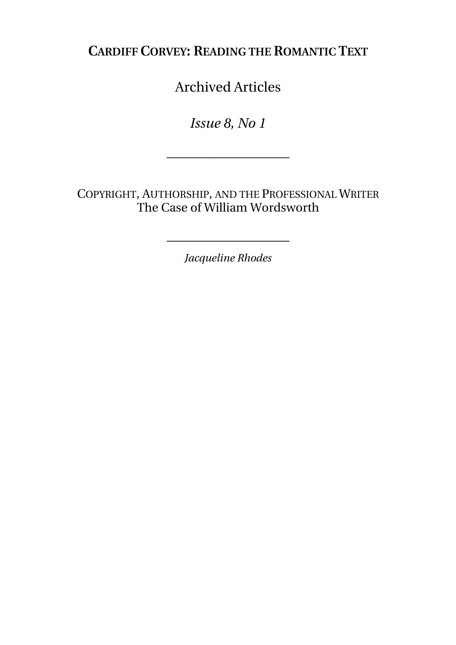**CARDIFF CORVEY: READING THE ROMANTIC TEXT**

Archived Articles

*Issue 8, No 1* 

——————————

COPYRIGHT, AUTHORSHIP, AND THE PROFESSIONAL WRITER The Case of William Wordsworth

*Jacqueline Rhodes* 

——————————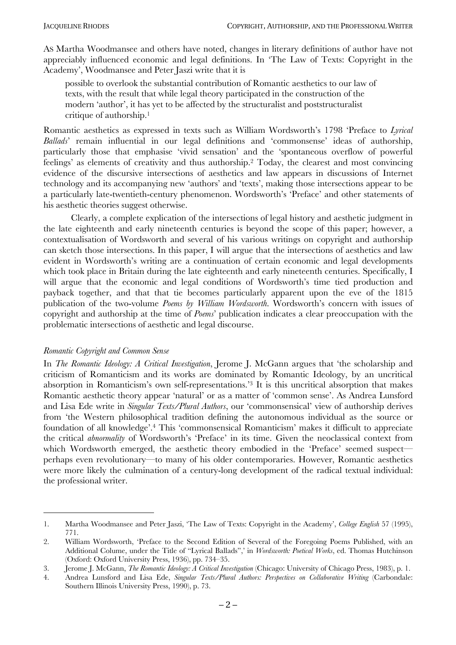AS Martha Woodmansee and others have noted, changes in literary definitions of author have not appreciably influenced economic and legal definitions. In ëThe Law of Texts: Copyright in the Academy', Woodmansee and Peter Jaszi write that it is

possible to overlook the substantial contribution of Romantic aesthetics to our law of texts, with the result that while legal theory participated in the construction of the modern 'author', it has yet to be affected by the structuralist and poststructuralist critique of authorship.1

Romantic aesthetics as expressed in texts such as William Wordsworth's 1798 'Preface to *Lyrical Ballads*' remain influential in our legal definitions and 'commonsense' ideas of authorship, particularly those that emphasise 'vivid sensation' and the 'spontaneous overflow of powerful feelings' as elements of creativity and thus authorship.<sup>2</sup> Today, the clearest and most convincing evidence of the discursive intersections of aesthetics and law appears in discussions of Internet technology and its accompanying new 'authors' and 'texts', making those intersections appear to be a particularly late-twentieth-century phenomenon. Wordsworth's 'Preface' and other statements of his aesthetic theories suggest otherwise.

Clearly, a complete explication of the intersections of legal history and aesthetic judgment in the late eighteenth and early nineteenth centuries is beyond the scope of this paper; however, a contextualisation of Wordsworth and several of his various writings on copyright and authorship can sketch those intersections. In this paper, I will argue that the intersections of aesthetics and law evident in Wordsworth's writing are a continuation of certain economic and legal developments which took place in Britain during the late eighteenth and early nineteenth centuries. Specifically, I will argue that the economic and legal conditions of Wordsworth's time tied production and payback together, and that that tie becomes particularly apparent upon the eve of the 1815 publication of the two-volume *Poems by William Wordsworth*. Wordsworth's concern with issues of copyright and authorship at the time of *Poems*í publication indicates a clear preoccupation with the problematic intersections of aesthetic and legal discourse.

### *Romantic Copyright and Common Sense*

 $\overline{a}$ 

In *The Romantic Ideology: A Critical Investigation*, Jerome J. McGann argues that ëthe scholarship and criticism of Romanticism and its works are dominated by Romantic Ideology, by an uncritical absorption in Romanticism's own self-representations.<sup>3</sup> It is this uncritical absorption that makes Romantic aesthetic theory appear 'natural' or as a matter of 'common sense'. As Andrea Lunsford and Lisa Ede write in *Singular Texts/Plural Authors*, our 'commonsensical' view of authorship derives from ëthe Western philosophical tradition defining the autonomous individual as the source or foundation of all knowledge<sup>2</sup>.<sup>4</sup> This 'commonsensical Romanticism' makes it difficult to appreciate the critical *abnormality* of Wordsworth's 'Preface' in its time. Given the neoclassical context from which Wordsworth emerged, the aesthetic theory embodied in the 'Preface' seemed suspectperhaps even revolutionary—to many of his older contemporaries. However, Romantic aesthetics were more likely the culmination of a century-long development of the radical textual individual: the professional writer.

<sup>1.</sup> Martha Woodmansee and Peter Jaszi, ëThe Law of Texts: Copyright in the Academyí, *College English* 57 (1995), 771.

<sup>2.</sup> William Wordsworth, ëPreface to the Second Edition of Several of the Foregoing Poems Published, with an Additional Colume, under the Title of "Lyrical Ballads", in *Wordsworth: Poetical Works*, ed. Thomas Hutchinson (Oxford: Oxford University Press, 1936), pp.  $734-35$ .

<sup>3.</sup> Jerome J. McGann, *The Romantic Ideology: A Critical Investigation* (Chicago: University of Chicago Press, 1983), p. 1.

<sup>4.</sup> Andrea Lunsford and Lisa Ede, *Singular Texts/Plural Authors: Perspectives on Collaborative Writing* (Carbondale: Southern Illinois University Press, 1990), p. 73.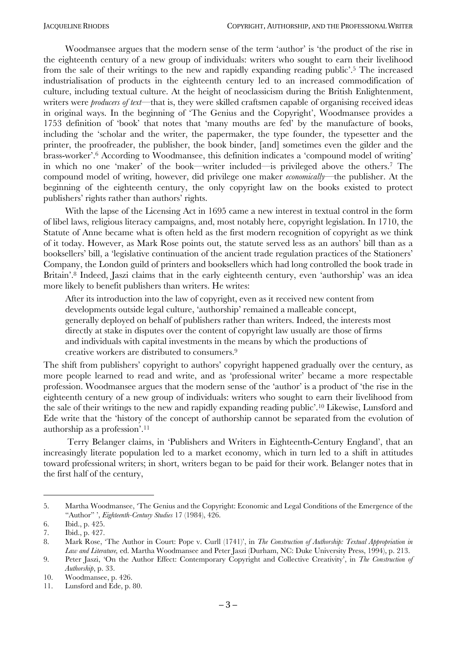Woodmansee argues that the modern sense of the term 'author' is 'the product of the rise in the eighteenth century of a new group of individuals: writers who sought to earn their livelihood from the sale of their writings to the new and rapidly expanding reading public<sup>7</sup>.<sup>5</sup> The increased industrialisation of products in the eighteenth century led to an increased commodification of culture, including textual culture. At the height of neoclassicism during the British Enlightenment, writers were *producers of text*—that is, they were skilled craftsmen capable of organising received ideas in original ways. In the beginning of 'The Genius and the Copyright', Woodmansee provides a 1753 definition of 'book' that notes that 'many mouths are fed' by the manufacture of books, including the ëscholar and the writer, the papermaker, the type founder, the typesetter and the printer, the proofreader, the publisher, the book binder, [and] sometimes even the gilder and the brass-worker'.<sup>6</sup> According to Woodmansee, this definition indicates a 'compound model of writing' in which no one 'maker' of the book—writer included—is privileged above the others.<sup>7</sup> The compound model of writing, however, did privilege one maker *economically*—the publisher. At the beginning of the eighteenth century, the only copyright law on the books existed to protect publishers' rights rather than authors' rights.

With the lapse of the Licensing Act in 1695 came a new interest in textual control in the form of libel laws, religious literacy campaigns, and, most notably here, copyright legislation. In 1710, the Statute of Anne became what is often held as the first modern recognition of copyright as we think of it today. However, as Mark Rose points out, the statute served less as an authors' bill than as a booksellers' bill, a 'legislative continuation of the ancient trade regulation practices of the Stationers' Company, the London guild of printers and booksellers which had long controlled the book trade in Britain<sup>', 8</sup> Indeed, Jaszi claims that in the early eighteenth century, even 'authorship' was an idea more likely to benefit publishers than writers. He writes:

After its introduction into the law of copyright, even as it received new content from developments outside legal culture, 'authorship' remained a malleable concept, generally deployed on behalf of publishers rather than writers. Indeed, the interests most directly at stake in disputes over the content of copyright law usually are those of firms and individuals with capital investments in the means by which the productions of creative workers are distributed to consumers.9

The shift from publishers' copyright to authors' copyright happened gradually over the century, as more people learned to read and write, and as 'professional writer' became a more respectable profession. Woodmansee argues that the modern sense of the 'author' is a product of 'the rise in the eighteenth century of a new group of individuals: writers who sought to earn their livelihood from the sale of their writings to the new and rapidly expanding reading public<sup>', 10</sup> Likewise, Lunsford and Ede write that the ëhistory of the concept of authorship cannot be separated from the evolution of authorship as a profession'. $^{11}$ 

Terry Belanger claims, in 'Publishers and Writers in Eighteenth-Century England', that an increasingly literate population led to a market economy, which in turn led to a shift in attitudes toward professional writers; in short, writers began to be paid for their work. Belanger notes that in the first half of the century,

<sup>5.</sup> Martha Woodmansee, ëThe Genius and the Copyright: Economic and Legal Conditions of the Emergence of the ìAuthorî í, *Eighteenth-Century Studies* 17 (1984), 426.

<sup>6.</sup> Ibid., p. 425.

<sup>7.</sup> Ibid., p. 427.

<sup>8.</sup> Mark Rose, 'The Author in Court: Pope v. Curll (1741)', in *The Construction of Authorship: Textual Appropriation in Law and Literature,* ed. Martha Woodmansee and Peter Jaszi (Durham, NC: Duke University Press, 1994), p. 213.

<sup>9.</sup> Peter Jaszi, ëOn the Author Effect: Contemporary Copyright and Collective Creativityí, in *The Construction of Authorship*, p. 33.

<sup>10.</sup> Woodmansee, p. 426.

<sup>11.</sup> Lunsford and Ede, p. 80.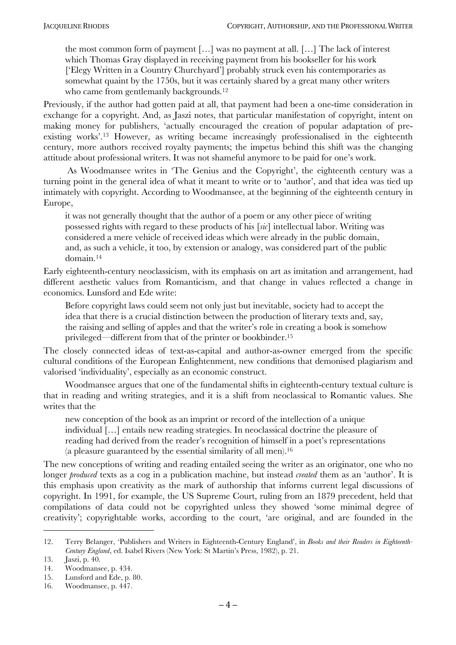the most common form of payment  $[\dots]$  was no payment at all.  $[\dots]$  The lack of interest which Thomas Gray displayed in receiving payment from his bookseller for his work ['Elegy Written in a Country Churchyard'] probably struck even his contemporaries as somewhat quaint by the 1750s, but it was certainly shared by a great many other writers who came from gentlemanly backgrounds.<sup>12</sup>

Previously, if the author had gotten paid at all, that payment had been a one-time consideration in exchange for a copyright. And, as Jaszi notes, that particular manifestation of copyright, intent on making money for publishers, ëactually encouraged the creation of popular adaptation of preexisting works<sup>', 13</sup> However, as writing became increasingly professionalised in the eighteenth century, more authors received royalty payments; the impetus behind this shift was the changing attitude about professional writers. It was not shameful anymore to be paid for one's work.

As Woodmansee writes in 'The Genius and the Copyright', the eighteenth century was a turning point in the general idea of what it meant to write or to 'author', and that idea was tied up intimately with copyright. According to Woodmansee, at the beginning of the eighteenth century in Europe,

it was not generally thought that the author of a poem or any other piece of writing possessed rights with regard to these products of his [*sic*] intellectual labor. Writing was considered a mere vehicle of received ideas which were already in the public domain, and, as such a vehicle, it too, by extension or analogy, was considered part of the public domain.14

Early eighteenth-century neoclassicism, with its emphasis on art as imitation and arrangement, had different aesthetic values from Romanticism, and that change in values reflected a change in economics. Lunsford and Ede write:

Before copyright laws could seem not only just but inevitable, society had to accept the idea that there is a crucial distinction between the production of literary texts and, say, the raising and selling of apples and that the writer's role in creating a book is somehow privileged—different from that of the printer or bookbinder.<sup>15</sup>

The closely connected ideas of text-as-capital and author-as-owner emerged from the specific cultural conditions of the European Enlightenment, new conditions that demonised plagiarism and valorised 'individuality', especially as an economic construct.

Woodmansee argues that one of the fundamental shifts in eighteenth-century textual culture is that in reading and writing strategies, and it is a shift from neoclassical to Romantic values. She writes that the

new conception of the book as an imprint or record of the intellection of a unique individual [...] entails new reading strategies. In neoclassical doctrine the pleasure of reading had derived from the reader's recognition of himself in a poet's representations (a pleasure guaranteed by the essential similarity of all men).16

The new conceptions of writing and reading entailed seeing the writer as an originator, one who no longer *produced* texts as a cog in a publication machine, but instead *created* them as an 'author'. It is this emphasis upon creativity as the mark of authorship that informs current legal discussions of copyright. In 1991, for example, the US Supreme Court, ruling from an 1879 precedent, held that compilations of data could not be copyrighted unless they showed 'some minimal degree of creativity'; copyrightable works, according to the court, 'are original, and are founded in the

<sup>12.</sup> Terry Belanger, ëPublishers and Writers in Eighteenth-Century Englandí, in *Books and their Readers in Eighteenth-Century England*, ed. Isabel Rivers (New York: St Martin's Press, 1982), p. 21.

<sup>13.</sup> Jaszi, p. 40.

<sup>14.</sup> Woodmansee, p. 434.

<sup>15.</sup> Lunsford and Ede, p. 80.

<sup>16.</sup> Woodmansee, p. 447.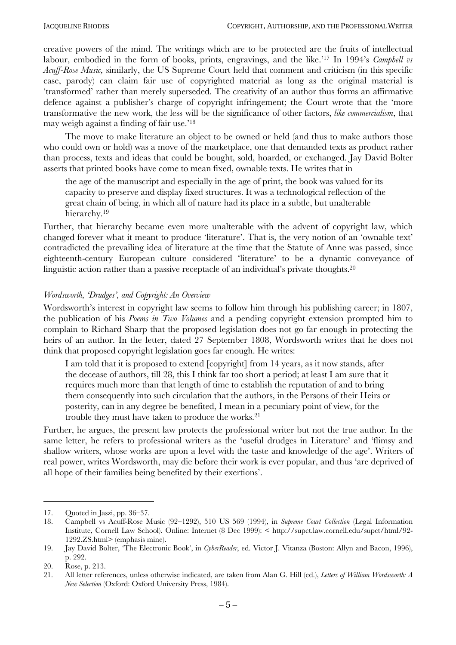creative powers of the mind. The writings which are to be protected are the fruits of intellectual labour, embodied in the form of books, prints, engravings, and the like.<sup>117</sup> In 1994's *Campbell vs Acuff-Rose Music,* similarly, the US Supreme Court held that comment and criticism (in this specific case, parody) can claim fair use of copyrighted material as long as the original material is ëtransformedí rather than merely superseded. The creativity of an author thus forms an affirmative defence against a publisher's charge of copyright infringement; the Court wrote that the 'more transformative the new work, the less will be the significance of other factors, *like commercialism*, that may weigh against a finding of fair use.<sup>18</sup>

The move to make literature an object to be owned or held (and thus to make authors those who could own or hold) was a move of the marketplace, one that demanded texts as product rather than process, texts and ideas that could be bought, sold, hoarded, or exchanged. Jay David Bolter asserts that printed books have come to mean fixed, ownable texts. He writes that in

the age of the manuscript and especially in the age of print, the book was valued for its capacity to preserve and display fixed structures. It was a technological reflection of the great chain of being, in which all of nature had its place in a subtle, but unalterable hierarchy.<sup>19</sup>

Further, that hierarchy became even more unalterable with the advent of copyright law, which changed forever what it meant to produce 'literature'. That is, the very notion of an 'ownable text' contradicted the prevailing idea of literature at the time that the Statute of Anne was passed, since eighteenth-century European culture considered 'literature' to be a dynamic conveyance of linguistic action rather than a passive receptacle of an individual's private thoughts.<sup>20</sup>

### *Wordsworth, ëDrudgesí, and Copyright: An Overview*

Wordsworth's interest in copyright law seems to follow him through his publishing career; in 1807, the publication of his *Poems in Two Volumes* and a pending copyright extension prompted him to complain to Richard Sharp that the proposed legislation does not go far enough in protecting the heirs of an author. In the letter, dated 27 September 1808, Wordsworth writes that he does not think that proposed copyright legislation goes far enough. He writes:

I am told that it is proposed to extend [copyright] from 14 years, as it now stands, after the decease of authors, till 28, this I think far too short a period; at least I am sure that it requires much more than that length of time to establish the reputation of and to bring them consequently into such circulation that the authors, in the Persons of their Heirs or posterity, can in any degree be benefited, I mean in a pecuniary point of view, for the trouble they must have taken to produce the works.21

Further, he argues, the present law protects the professional writer but not the true author. In the same letter, he refers to professional writers as the 'useful drudges in Literature' and 'flimsy and shallow writers, whose works are upon a level with the taste and knowledge of the age'. Writers of real power, writes Wordsworth, may die before their work is ever popular, and thus ëare deprived of all hope of their families being benefited by their exertions'.

<sup>17.</sup> Quoted in Jaszi, pp.  $36-37$ .

<sup>18.</sup> Campbell vs Acuff-Rose Music (92-1292), 510 US 569 (1994), in *Supreme Court Collection* (Legal Information Institute, Cornell Law School). Online: Internet (8 Dec 1999): < http://supct.law.cornell.edu/supct/html/92- 1292.ZS.html> (emphasis mine).

<sup>19.</sup> Jay David Bolter, ëThe Electronic Bookí, in *CyberReader*, ed. Victor J. Vitanza (Boston: Allyn and Bacon, 1996), p. 292.

<sup>20.</sup> Rose, p. 213.

<sup>21.</sup> All letter references, unless otherwise indicated, are taken from Alan G. Hill (ed.), *Letters of William Wordsworth: A New Selection* (Oxford: Oxford University Press, 1984).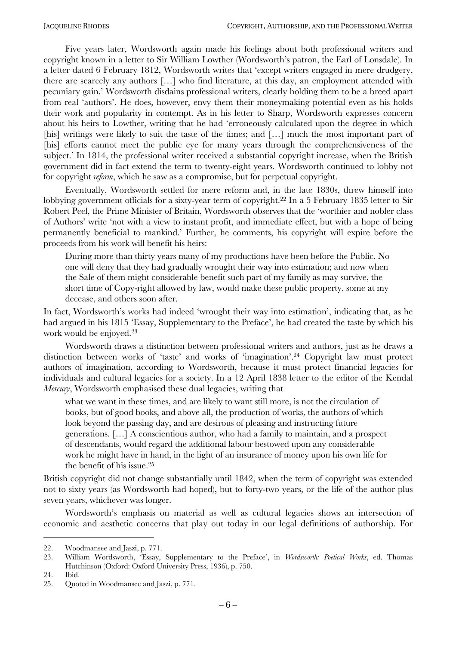Five years later, Wordsworth again made his feelings about both professional writers and copyright known in a letter to Sir William Lowther (Wordsworth's patron, the Earl of Lonsdale). In a letter dated 6 February 1812, Wordsworth writes that ëexcept writers engaged in mere drudgery, there are scarcely any authors [...] who find literature, at this day, an employment attended with pecuniary gain.<sup>†</sup> Wordsworth disdains professional writers, clearly holding them to be a breed apart from real 'authors'. He does, however, envy them their moneymaking potential even as his holds their work and popularity in contempt. As in his letter to Sharp, Wordsworth expresses concern about his heirs to Lowther, writing that he had ëerroneously calculated upon the degree in which [his] writings were likely to suit the taste of the times; and [...] much the most important part of [his] efforts cannot meet the public eye for many years through the comprehensiveness of the subject. In 1814, the professional writer received a substantial copyright increase, when the British government did in fact extend the term to twenty-eight years. Wordsworth continued to lobby not for copyright *reform*, which he saw as a compromise, but for perpetual copyright.

Eventually, Wordsworth settled for mere reform and, in the late 1830s, threw himself into lobbying government officials for a sixty-year term of copyright.22 In a 5 February 1835 letter to Sir Robert Peel, the Prime Minister of Britain, Wordsworth observes that the 'worthier and nobler class of Authorsí write ënot with a view to instant profit, and immediate effect, but with a hope of being permanently beneficial to mankind.' Further, he comments, his copyright will expire before the proceeds from his work will benefit his heirs:

During more than thirty years many of my productions have been before the Public. No one will deny that they had gradually wrought their way into estimation; and now when the Sale of them might considerable benefit such part of my family as may survive, the short time of Copy-right allowed by law, would make these public property, some at my decease, and others soon after.

In fact, Wordsworth's works had indeed 'wrought their way into estimation', indicating that, as he had argued in his 1815 'Essay, Supplementary to the Preface', he had created the taste by which his work would be enjoyed.23

Wordsworth draws a distinction between professional writers and authors, just as he draws a distinction between works of 'taste' and works of 'imagination'.<sup>24</sup> Copyright law must protect authors of imagination, according to Wordsworth, because it must protect financial legacies for individuals and cultural legacies for a society. In a 12 April 1838 letter to the editor of the Kendal *Mercury*, Wordsworth emphasised these dual legacies, writing that

what we want in these times, and are likely to want still more, is not the circulation of books, but of good books, and above all, the production of works, the authors of which look beyond the passing day, and are desirous of pleasing and instructing future generations. [...] A conscientious author, who had a family to maintain, and a prospect of descendants, would regard the additional labour bestowed upon any considerable work he might have in hand, in the light of an insurance of money upon his own life for the benefit of his issue.25

British copyright did not change substantially until 1842, when the term of copyright was extended not to sixty years (as Wordsworth had hoped), but to forty-two years, or the life of the author plus seven years, whichever was longer.

Wordsworth's emphasis on material as well as cultural legacies shows an intersection of economic and aesthetic concerns that play out today in our legal definitions of authorship. For

<sup>22.</sup> Woodmansee and Jaszi, p. 771.

<sup>23.</sup> William Wordsworth, Essay, Supplementary to the Preface', in *Wordsworth: Poetical Works*, ed. Thomas Hutchinson (Oxford: Oxford University Press, 1936), p. 750.

<sup>24.</sup> Ibid.

<sup>25.</sup> Quoted in Woodmansee and Jaszi, p. 771.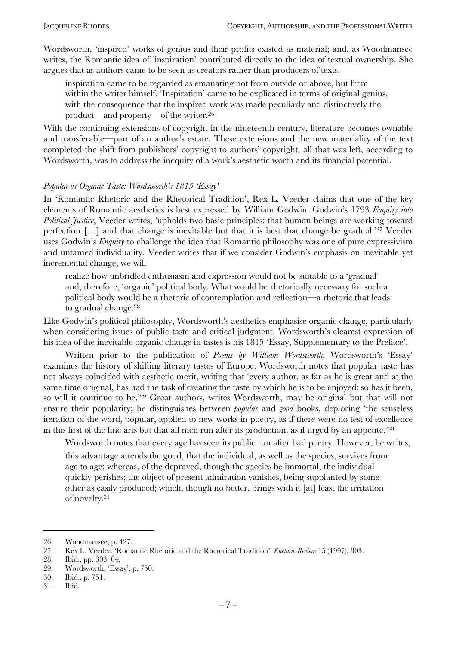Wordsworth, 'inspired' works of genius and their profits existed as material; and, as Woodmansee writes, the Romantic idea of 'inspiration' contributed directly to the idea of textual ownership. She argues that as authors came to be seen as creators rather than producers of texts,

inspiration came to be regarded as emanating not from outside or above, but from within the writer himself. 'Inspiration' came to be explicated in terms of original genius, with the consequence that the inspired work was made peculiarly and distinctively the product—and property—of the writer.<sup>26</sup>

With the continuing extensions of copyright in the nineteenth century, literature becomes ownable and transferable—part of an author's estate. These extensions and the new materiality of the text completed the shift from publishers' copyright to authors' copyright; all that was left, according to Wordsworth, was to address the inequity of a work's aesthetic worth and its financial potential.

### Popular vs Organic Taste: Wordsworth's 1815 'Essay'

In 'Romantic Rhetoric and the Rhetorical Tradition', Rex L. Veeder claims that one of the key elements of Romantic aesthetics is best expressed by William Godwin. Godwinís 1793 *Enquiry into Political Justice*, Veeder writes, ëupholds two basic principles: that human beings are working toward perfection  $[\dots]$  and that change is inevitable but that it is best that change be gradual.<sup>27</sup> Veeder uses Godwin's *Enquiry* to challenge the idea that Romantic philosophy was one of pure expressivism and untamed individuality. Veeder writes that if we consider Godwin's emphasis on inevitable yet incremental change, we will

realize how unbridled enthusiasm and expression would not be suitable to a 'gradual' and, therefore, 'organic' political body. What would be rhetorically necessary for such a political body would be a rhetoric of contemplation and reflection—a rhetoric that leads to gradual change.28

Like Godwin's political philosophy, Wordsworth's aesthetics emphasise organic change, particularly when considering issues of public taste and critical judgment. Wordsworth's clearest expression of his idea of the inevitable organic change in tastes is his 1815 'Essay, Supplementary to the Preface'.

Written prior to the publication of *Poems by William Wordsworth*, Wordsworth's 'Essay' examines the history of shifting literary tastes of Europe. Wordsworth notes that popular taste has not always coincided with aesthetic merit, writing that ëevery author, as far as he is great and at the same time original, has had the task of creating the taste by which he is to be enjoyed: so has it been, so will it continue to be.<sup>229</sup> Great authors, writes Wordsworth, may be original but that will not ensure their popularity; he distinguishes between *popular* and *good* books, deploring 'the senseless iteration of the word, popular, applied to new works in poetry, as if there were no test of excellence in this first of the fine arts but that all men run after its production, as if urged by an appetite.<sup>30</sup>

Wordsworth notes that every age has seen its public run after bad poetry. However, he writes,

this advantage attends the good, that the individual, as well as the species, survives from age to age; whereas, of the depraved, though the species be immortal, the individual quickly perishes; the object of present admiration vanishes, being supplanted by some other as easily produced; which, though no better, brings with it [at] least the irritation of novelty.31

28. Ibid., pp.  $303-04$ .

<sup>26.</sup> Woodmansee, p. 427.

<sup>27.</sup> Rex L. Veeder, ëRomantic Rhetoric and the Rhetorical Traditioní, *Rhetoric Review* 15 (1997), 303.

<sup>29.</sup> Wordsworth, 'Essay', p. 750.

<sup>30.</sup> Ibid., p. 751.

<sup>31.</sup> Ibid.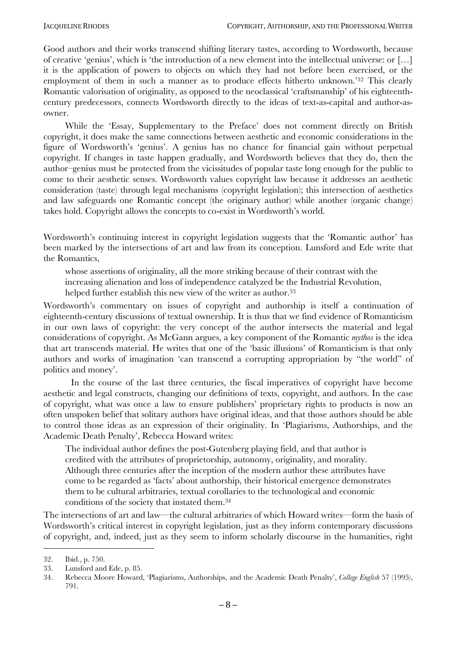Good authors and their works transcend shifting literary tastes, according to Wordsworth, because of creative 'genius', which is 'the introduction of a new element into the intellectual universe: or  $[...]$ it is the application of powers to objects on which they had not before been exercised, or the employment of them in such a manner as to produce effects hitherto unknown.<sup>32</sup> This clearly Romantic valorisation of originality, as opposed to the neoclassical 'craftsmanship' of his eighteenthcentury predecessors, connects Wordsworth directly to the ideas of text-as-capital and author-asowner.

While the 'Essay, Supplementary to the Preface' does not comment directly on British copyright, it does make the same connections between aesthetic and economic considerations in the figure of Wordsworth's 'genius'. A genius has no chance for financial gain without perpetual copyright. If changes in taste happen gradually, and Wordsworth believes that they do, then the author-genius must be protected from the vicissitudes of popular taste long enough for the public to come to their aesthetic senses. Wordsworth values copyright law because it addresses an aesthetic consideration (taste) through legal mechanisms (copyright legislation); this intersection of aesthetics and law safeguards one Romantic concept (the originary author) while another (organic change) takes hold. Copyright allows the concepts to co-exist in Wordsworth's world.

Wordsworth's continuing interest in copyright legislation suggests that the 'Romantic author' has been marked by the intersections of art and law from its conception. Lunsford and Ede write that the Romantics,

whose assertions of originality, all the more striking because of their contrast with the increasing alienation and loss of independence catalyzed be the Industrial Revolution,

helped further establish this new view of the writer as author.<sup>33</sup>

Wordsworth's commentary on issues of copyright and authorship is itself a continuation of eighteenth-century discussions of textual ownership. It is thus that we find evidence of Romanticism in our own laws of copyright: the very concept of the author intersects the material and legal considerations of copyright. As McGann argues, a key component of the Romantic *mythos* is the idea that art transcends material. He writes that one of the 'basic illusions' of Romanticism is that only authors and works of imagination 'can transcend a corrupting appropriation by "the world" of politics and money'.

In the course of the last three centuries, the fiscal imperatives of copyright have become aesthetic and legal constructs, changing our definitions of texts, copyright, and authors. In the case of copyright, what was once a law to ensure publishers' proprietary rights to products is now an often unspoken belief that solitary authors have original ideas, and that those authors should be able to control those ideas as an expression of their originality. In ëPlagiarisms, Authorships, and the Academic Death Penalty', Rebecca Howard writes:

The individual author defines the post-Gutenberg playing field, and that author is credited with the attributes of proprietorship, autonomy, originality, and morality. Although three centuries after the inception of the modern author these attributes have come to be regarded as 'facts' about authorship, their historical emergence demonstrates them to be cultural arbitraries, textual corollaries to the technological and economic conditions of the society that instated them.34

The intersections of art and law—the cultural arbitraries of which Howard writes—form the basis of Wordsworth's critical interest in copyright legislation, just as they inform contemporary discussions of copyright, and, indeed, just as they seem to inform scholarly discourse in the humanities, right

<sup>32.</sup> Ibid., p. 750.

<sup>33.</sup> Lunsford and Ede, p. 85.

<sup>34.</sup> Rebecca Moore Howard, ëPlagiarisms, Authorships, and the Academic Death Penaltyí, *College English* 57 (1995), 791.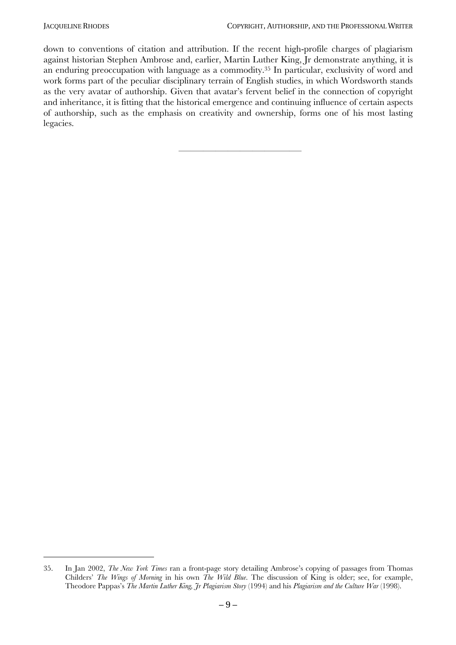$\overline{a}$ 

down to conventions of citation and attribution. If the recent high-profile charges of plagiarism against historian Stephen Ambrose and, earlier, Martin Luther King, Jr demonstrate anything, it is an enduring preoccupation with language as a commodity.35 In particular, exclusivity of word and work forms part of the peculiar disciplinary terrain of English studies, in which Wordsworth stands as the very avatar of authorship. Given that avatar's fervent belief in the connection of copyright and inheritance, it is fitting that the historical emergence and continuing influence of certain aspects of authorship, such as the emphasis on creativity and ownership, forms one of his most lasting legacies.

óóóóóóóóóóóóóóóóóóóóóóó

<sup>35.</sup> In Jan 2002, *The New York Times* ran a front-page story detailing Ambroseís copying of passages from Thomas Childersí *The Wings of Morning* in his own *The Wild Blue*. The discussion of King is older; see, for example, Theodore Pappasís *The Martin Luther King, Jr Plagiarism Story* (1994) and his *Plagiarism and the Culture War* (1998).